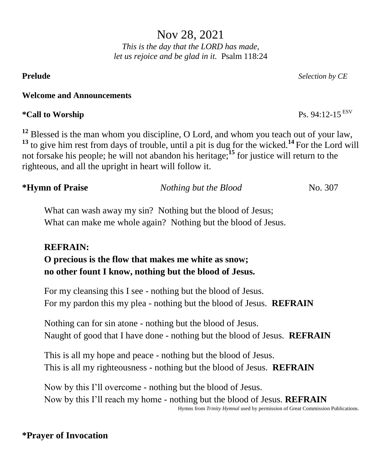Nov 28, 2021 *This is the day that the LORD has made, let us rejoice and be glad in it.* Psalm 118:24

# **Welcome and Announcements**

# **\*Call to Worship** Ps. 94:12-15 ESV

**<sup>12</sup>** Blessed is the man whom you discipline, O Lord, and whom you teach out of your law, **<sup>13</sup>** to give him rest from days of trouble, until a pit is dug for the wicked.**<sup>14</sup>** For the Lord will not forsake his people; he will not abandon his heritage;**<sup>15</sup>** for justice will return to the righteous, and all the upright in heart will follow it.

| *Hymn of Praise | Nothing but the Blood | No. 307 |
|-----------------|-----------------------|---------|
|                 |                       |         |

What can wash away my sin? Nothing but the blood of Jesus; What can make me whole again? Nothing but the blood of Jesus.

# **REFRAIN:**

**O precious is the flow that makes me white as snow; no other fount I know, nothing but the blood of Jesus.**

For my cleansing this I see - nothing but the blood of Jesus. For my pardon this my plea - nothing but the blood of Jesus. **REFRAIN**

Nothing can for sin atone - nothing but the blood of Jesus. Naught of good that I have done - nothing but the blood of Jesus. **REFRAIN**

This is all my hope and peace - nothing but the blood of Jesus. This is all my righteousness - nothing but the blood of Jesus. **REFRAIN**

Now by this I'll overcome - nothing but the blood of Jesus. Now by this I'll reach my home - nothing but the blood of Jesus. **REFRAIN** Hymns from *Trinity Hymnal* used by permission of Great Commission Publications.

# **\*Prayer of Invocation**

**Prelude** *Selection by CE*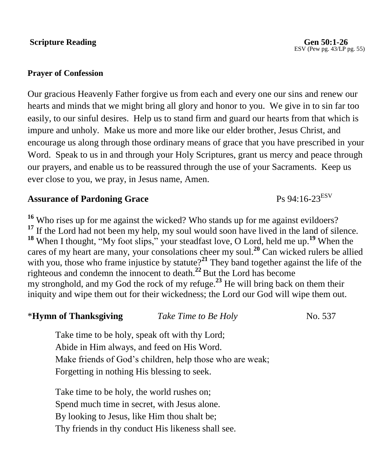### **Scripture Reading Gen 50:1-26**

#### **Prayer of Confession**

Our gracious Heavenly Father forgive us from each and every one our sins and renew our hearts and minds that we might bring all glory and honor to you. We give in to sin far too easily, to our sinful desires. Help us to stand firm and guard our hearts from that which is impure and unholy. Make us more and more like our elder brother, Jesus Christ, and encourage us along through those ordinary means of grace that you have prescribed in your Word. Speak to us in and through your Holy Scriptures, grant us mercy and peace through our prayers, and enable us to be reassured through the use of your Sacraments. Keep us ever close to you, we pray, in Jesus name, Amen.

# Assurance of Pardoning Grace **Ps 94:16-23ESV**

**<sup>16</sup>** Who rises up for me against the wicked? Who stands up for me against evildoers? <sup>17</sup> If the Lord had not been my help, my soul would soon have lived in the land of silence. **<sup>18</sup>** When I thought, "My foot slips," your steadfast love, O Lord, held me up.**<sup>19</sup>** When the cares of my heart are many, your consolations cheer my soul.**<sup>20</sup>** Can wicked rulers be allied with you, those who frame injustice by statute?<sup>21</sup> They band together against the life of the righteous and condemn the innocent to death.**<sup>22</sup>** But the Lord has become my stronghold, and my God the rock of my refuge.**<sup>23</sup>** He will bring back on them their iniquity and wipe them out for their wickedness; the Lord our God will wipe them out.

| *Hymn of Thanksgiving                          | Take Time to Be Holy | No. 537 |
|------------------------------------------------|----------------------|---------|
| Tolzo time to be holy speak oft with thy Lord. |                      |         |

Take time to be holy, speak oft with thy Lord; Abide in Him always, and feed on His Word. Make friends of God's children, help those who are weak; Forgetting in nothing His blessing to seek.

Take time to be holy, the world rushes on; Spend much time in secret, with Jesus alone. By looking to Jesus, like Him thou shalt be; Thy friends in thy conduct His likeness shall see.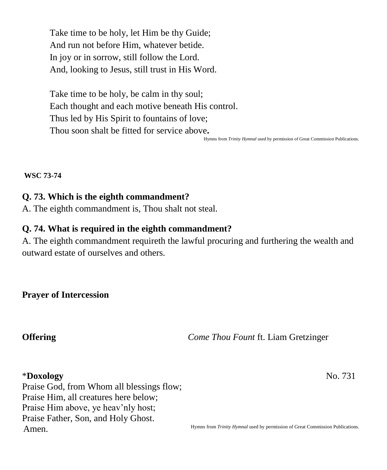Take time to be holy, let Him be thy Guide; And run not before Him, whatever betide. In joy or in sorrow, still follow the Lord. And, looking to Jesus, still trust in His Word.

Take time to be holy, be calm in thy soul; Each thought and each motive beneath His control. Thus led by His Spirit to fountains of love; Thou soon shalt be fitted for service above**.**

Hymns from *Trinity Hymnal* used by permission of Great Commission Publications.

**WSC 73-74**

## **Q. 73. Which is the eighth commandment?**

A. The eighth commandment is, Thou shalt not steal.

## **Q. 74. What is required in the eighth commandment?**

A. The eighth commandment requireth the lawful procuring and furthering the wealth and outward estate of ourselves and others.

**Prayer of Intercession**

**Offering** *Come Thou Fount* ft. Liam Gretzinger

#### \***Doxology** No. 731

Praise God, from Whom all blessings flow; Praise Him, all creatures here below; Praise Him above, ye heav'nly host; Praise Father, Son, and Holy Ghost. Amen.

Hymns from *Trinity Hymnal* used by permission of Great Commission Publications.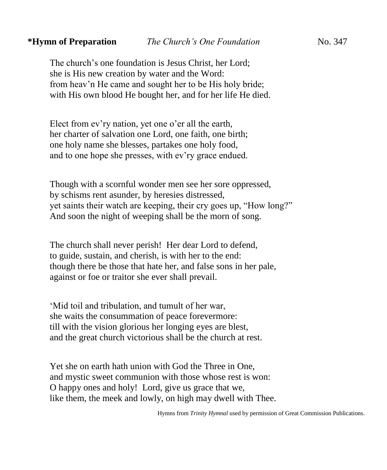The church's one foundation is Jesus Christ, her Lord; she is His new creation by water and the Word: from heav'n He came and sought her to be His holy bride; with His own blood He bought her, and for her life He died.

Elect from ev'ry nation, yet one o'er all the earth, her charter of salvation one Lord, one faith, one birth; one holy name she blesses, partakes one holy food, and to one hope she presses, with ev'ry grace endued.

Though with a scornful wonder men see her sore oppressed, by schisms rent asunder, by heresies distressed, yet saints their watch are keeping, their cry goes up, "How long?" And soon the night of weeping shall be the morn of song.

The church shall never perish! Her dear Lord to defend, to guide, sustain, and cherish, is with her to the end: though there be those that hate her, and false sons in her pale, against or foe or traitor she ever shall prevail.

'Mid toil and tribulation, and tumult of her war, she waits the consummation of peace forevermore: till with the vision glorious her longing eyes are blest, and the great church victorious shall be the church at rest.

Yet she on earth hath union with God the Three in One, and mystic sweet communion with those whose rest is won: O happy ones and holy! Lord, give us grace that we, like them, the meek and lowly, on high may dwell with Thee.

Hymns from *Trinity Hymnal* used by permission of Great Commission Publications.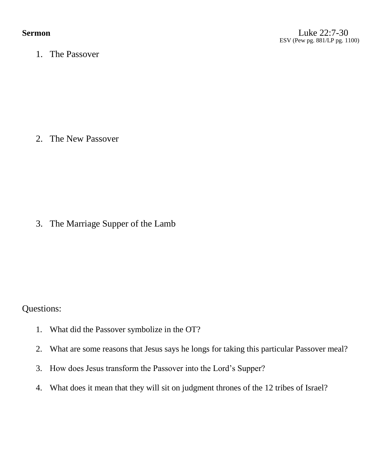1. The Passover

2. The New Passover

3. The Marriage Supper of the Lamb

Questions:

- 1. What did the Passover symbolize in the OT?
- 2. What are some reasons that Jesus says he longs for taking this particular Passover meal?
- 3. How does Jesus transform the Passover into the Lord's Supper?
- 4. What does it mean that they will sit on judgment thrones of the 12 tribes of Israel?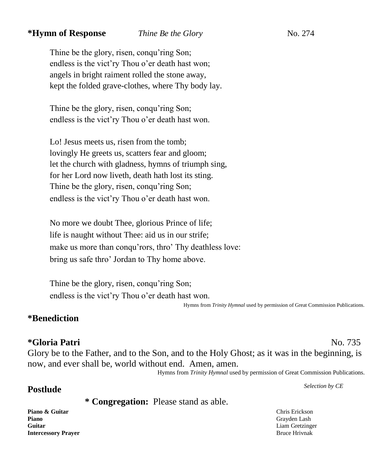#### *\****Hymn of Response** *Thine Be the Glory* **No. 274**

Thine be the glory, risen, conqu'ring Son; endless is the vict'ry Thou o'er death hast won; angels in bright raiment rolled the stone away, kept the folded grave-clothes, where Thy body lay.

Thine be the glory, risen, conqu'ring Son; endless is the vict'ry Thou o'er death hast won.

Lo! Jesus meets us, risen from the tomb; lovingly He greets us, scatters fear and gloom; let the church with gladness, hymns of triumph sing, for her Lord now liveth, death hath lost its sting. Thine be the glory, risen, conqu'ring Son; endless is the vict'ry Thou o'er death hast won.

No more we doubt Thee, glorious Prince of life; life is naught without Thee: aid us in our strife; make us more than conqu'rors, thro' Thy deathless love: bring us safe thro' Jordan to Thy home above.

Thine be the glory, risen, conqu'ring Son; endless is the vict'ry Thou o'er death hast won.

Hymns from *Trinity Hymnal* used by permission of Great Commission Publications.

#### **\*Benediction**

#### **\*Gloria Patri** No. 735

Glory be to the Father, and to the Son, and to the Holy Ghost; as it was in the beginning, is now, and ever shall be, world without end. Amen, amen.

Hymns from *Trinity Hymnal* used by permission of Great Commission Publications.

# **Postlude** *Selection by CE*

**\* Congregation:** Please stand as able.

**Piano & Guitar** Chris Erickson **Piano** Grayden Lash Grayden Lash Grayden Lash Grayden Lash Grayden Lash Grayden Lash Grayden Lash Grayden Lash Grayden Lash Grayden Lash Grayden Lash Grayden Lash Grayden Lash Grayden Lash Grayden Lash Grayden Lash Grayde **Guitar** Liam Gretzinger **Intercessory Prayer** Bruce Hrivnak